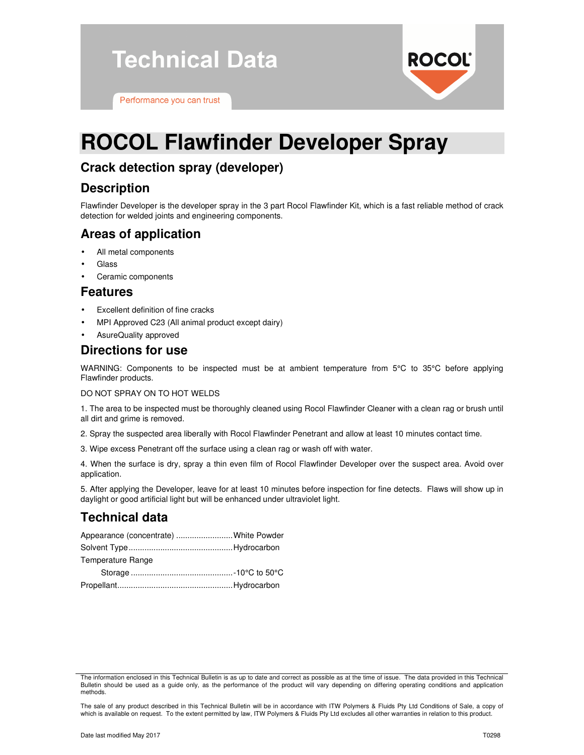**Technical Data** 

Performance you can trust

# **ROCOL Flawfinder Developer Spray**

# **Crack detection spray (developer)**

## **Description**

Flawfinder Developer is the developer spray in the 3 part Rocol Flawfinder Kit, which is a fast reliable method of crack detection for welded joints and engineering components.

**ROCOL®** 

## **Areas of application**

- All metal components
- **Glass**
- Ceramic components

#### **Features**

- Excellent definition of fine cracks
- MPI Approved C23 (All animal product except dairy)
- AsureQuality approved

## **Directions for use**

WARNING: Components to be inspected must be at ambient temperature from 5°C to 35°C before applying Flawfinder products.

DO NOT SPRAY ON TO HOT WELDS

1. The area to be inspected must be thoroughly cleaned using Rocol Flawfinder Cleaner with a clean rag or brush until all dirt and grime is removed.

- 2. Spray the suspected area liberally with Rocol Flawfinder Penetrant and allow at least 10 minutes contact time.
- 3. Wipe excess Penetrant off the surface using a clean rag or wash off with water.

4. When the surface is dry, spray a thin even film of Rocol Flawfinder Developer over the suspect area. Avoid over application.

5. After applying the Developer, leave for at least 10 minutes before inspection for fine detects. Flaws will show up in daylight or good artificial light but will be enhanced under ultraviolet light.

# **Technical data**

| Appearance (concentrate) White Powder |  |
|---------------------------------------|--|
|                                       |  |
| Temperature Range                     |  |
|                                       |  |
|                                       |  |

The information enclosed in this Technical Bulletin is as up to date and correct as possible as at the time of issue. The data provided in this Technical Bulletin should be used as a guide only, as the performance of the product will vary depending on differing operating conditions and application methods.

The sale of any product described in this Technical Bulletin will be in accordance with ITW Polymers & Fluids Pty Ltd Conditions of Sale, a copy of which is available on request. To the extent permitted by law, ITW Polymers & Fluids Pty Ltd excludes all other warranties in relation to this product.